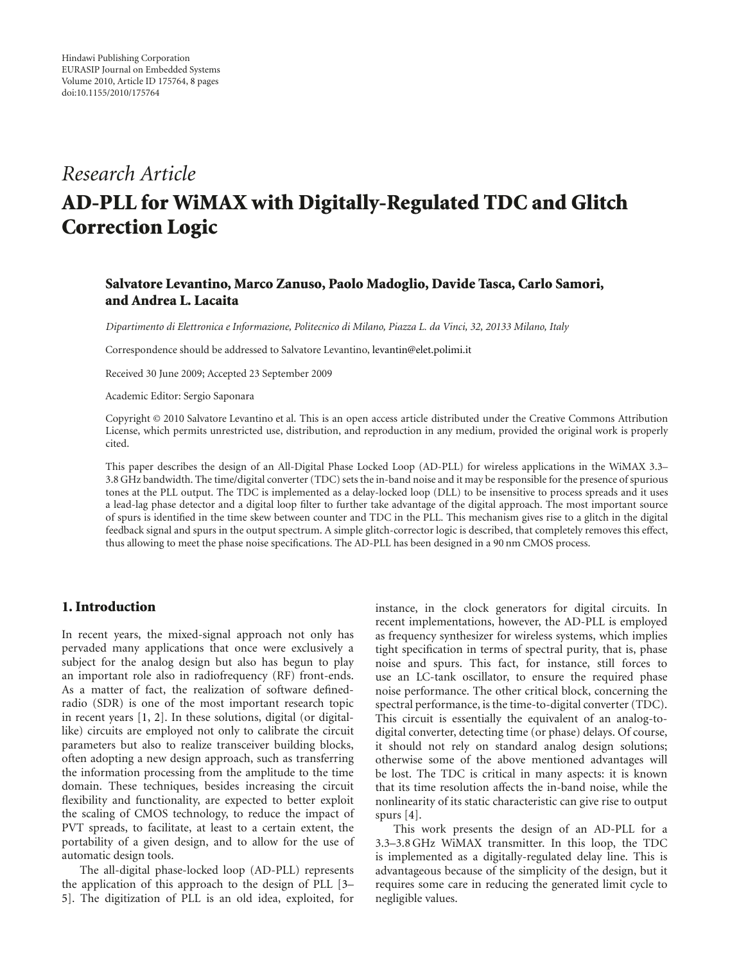# *Research Article*

# **AD-PLL for WiMAX with Digitally-Regulated TDC and Glitch Correction Logic**

# **Salvatore Levantino, Marco Zanuso, Paolo Madoglio, Davide Tasca, Carlo Samori, and Andrea L. Lacaita**

*Dipartimento di Elettronica e Informazione, Politecnico di Milano, Piazza L. da Vinci, 32, 20133 Milano, Italy*

Correspondence should be addressed to Salvatore Levantino, levantin@elet.polimi.it

Received 30 June 2009; Accepted 23 September 2009

Academic Editor: Sergio Saponara

Copyright © 2010 Salvatore Levantino et al. This is an open access article distributed under the Creative Commons Attribution License, which permits unrestricted use, distribution, and reproduction in any medium, provided the original work is properly cited.

This paper describes the design of an All-Digital Phase Locked Loop (AD-PLL) for wireless applications in the WiMAX 3.3– 3.8 GHz bandwidth. The time/digital converter (TDC) sets the in-band noise and it may be responsible for the presence of spurious tones at the PLL output. The TDC is implemented as a delay-locked loop (DLL) to be insensitive to process spreads and it uses a lead-lag phase detector and a digital loop filter to further take advantage of the digital approach. The most important source of spurs is identified in the time skew between counter and TDC in the PLL. This mechanism gives rise to a glitch in the digital feedback signal and spurs in the output spectrum. A simple glitch-corrector logic is described, that completely removes this effect, thus allowing to meet the phase noise specifications. The AD-PLL has been designed in a 90 nm CMOS process.

#### **1. Introduction**

In recent years, the mixed-signal approach not only has pervaded many applications that once were exclusively a subject for the analog design but also has begun to play an important role also in radiofrequency (RF) front-ends. As a matter of fact, the realization of software definedradio (SDR) is one of the most important research topic in recent years [1, 2]. In these solutions, digital (or digitallike) circuits are employed not only to calibrate the circuit parameters but also to realize transceiver building blocks, often adopting a new design approach, such as transferring the information processing from the amplitude to the time domain. These techniques, besides increasing the circuit flexibility and functionality, are expected to better exploit the scaling of CMOS technology, to reduce the impact of PVT spreads, to facilitate, at least to a certain extent, the portability of a given design, and to allow for the use of automatic design tools.

The all-digital phase-locked loop (AD-PLL) represents the application of this approach to the design of PLL [3– 5]. The digitization of PLL is an old idea, exploited, for instance, in the clock generators for digital circuits. In recent implementations, however, the AD-PLL is employed as frequency synthesizer for wireless systems, which implies tight specification in terms of spectral purity, that is, phase noise and spurs. This fact, for instance, still forces to use an LC-tank oscillator, to ensure the required phase noise performance. The other critical block, concerning the spectral performance, is the time-to-digital converter (TDC). This circuit is essentially the equivalent of an analog-todigital converter, detecting time (or phase) delays. Of course, it should not rely on standard analog design solutions; otherwise some of the above mentioned advantages will be lost. The TDC is critical in many aspects: it is known that its time resolution affects the in-band noise, while the nonlinearity of its static characteristic can give rise to output spurs [4].

This work presents the design of an AD-PLL for a 3.3–3.8 GHz WiMAX transmitter. In this loop, the TDC is implemented as a digitally-regulated delay line. This is advantageous because of the simplicity of the design, but it requires some care in reducing the generated limit cycle to negligible values.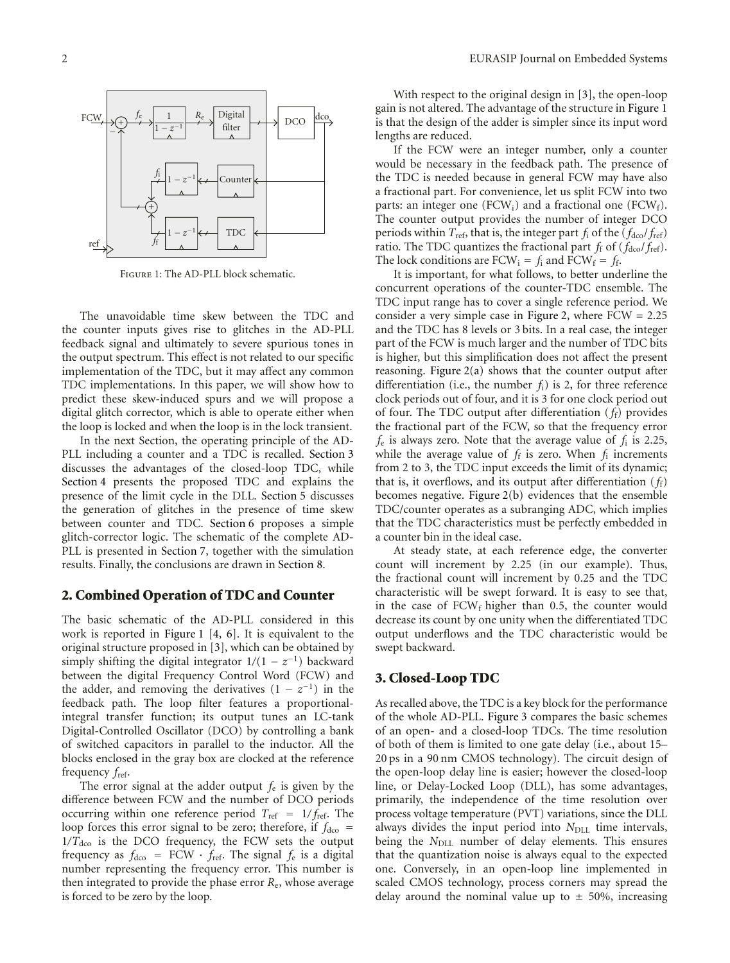

Figure 1: The AD-PLL block schematic.

The unavoidable time skew between the TDC and the counter inputs gives rise to glitches in the AD-PLL feedback signal and ultimately to severe spurious tones in the output spectrum. This effect is not related to our specific implementation of the TDC, but it may affect any common TDC implementations. In this paper, we will show how to predict these skew-induced spurs and we will propose a digital glitch corrector, which is able to operate either when the loop is locked and when the loop is in the lock transient.

In the next Section, the operating principle of the AD-PLL including a counter and a TDC is recalled. Section 3 discusses the advantages of the closed-loop TDC, while Section 4 presents the proposed TDC and explains the presence of the limit cycle in the DLL. Section 5 discusses the generation of glitches in the presence of time skew between counter and TDC. Section 6 proposes a simple glitch-corrector logic. The schematic of the complete AD-PLL is presented in Section 7, together with the simulation results. Finally, the conclusions are drawn in Section 8.

#### **2. Combined Operation of TDC and Counter**

The basic schematic of the AD-PLL considered in this work is reported in Figure 1 [4, 6]. It is equivalent to the original structure proposed in [3], which can be obtained by simply shifting the digital integrator  $1/(1 - z^{-1})$  backward between the digital Frequency Control Word (FCW) and the adder, and removing the derivatives  $(1 - z^{-1})$  in the feedback path. The loop filter features a proportionalintegral transfer function; its output tunes an LC-tank Digital-Controlled Oscillator (DCO) by controlling a bank of switched capacitors in parallel to the inductor. All the blocks enclosed in the gray box are clocked at the reference frequency *f*ref.

The error signal at the adder output  $f_e$  is given by the difference between FCW and the number of DCO periods occurring within one reference period  $T_{ref} = 1/f_{ref}$ . The loop forces this error signal to be zero; therefore, if  $f_{\text{dco}} =$  $1/T<sub>doc</sub>$  is the DCO frequency, the FCW sets the output frequency as  $f_{\text{dco}} = FCW \cdot f_{\text{ref}}$ . The signal  $f_{\text{e}}$  is a digital number representing the frequency error. This number is then integrated to provide the phase error *R*e, whose average is forced to be zero by the loop.

With respect to the original design in [3], the open-loop gain is not altered. The advantage of the structure in Figure 1 is that the design of the adder is simpler since its input word lengths are reduced.

If the FCW were an integer number, only a counter would be necessary in the feedback path. The presence of the TDC is needed because in general FCW may have also a fractional part. For convenience, let us split FCW into two parts: an integer one (FCW<sub>i</sub>) and a fractional one (FCW<sub>f</sub>). The counter output provides the number of integer DCO periods within  $T_{\text{ref}}$ , that is, the integer part  $f_i$  of the ( $f_{\text{dco}}/f_{\text{ref}}$ ) ratio. The TDC quantizes the fractional part  $f_f$  of ( $f_{\text{dco}}/f_{\text{ref}}$ ). The lock conditions are  $FCW_i = f_i$  and  $FCW_f = f_f$ .

It is important, for what follows, to better underline the concurrent operations of the counter-TDC ensemble. The TDC input range has to cover a single reference period. We consider a very simple case in Figure 2, where  $FCW = 2.25$ and the TDC has 8 levels or 3 bits. In a real case, the integer part of the FCW is much larger and the number of TDC bits is higher, but this simplification does not affect the present reasoning. Figure  $2(a)$  shows that the counter output after differentiation (i.e., the number *f*i) is 2, for three reference clock periods out of four, and it is 3 for one clock period out of four. The TDC output after differentiation (*f*f) provides the fractional part of the FCW, so that the frequency error *f*<sup>e</sup> is always zero. Note that the average value of *f*<sup>i</sup> is 2.25, while the average value of  $f_f$  is zero. When  $f_i$  increments from 2 to 3, the TDC input exceeds the limit of its dynamic; that is, it overflows, and its output after differentiation (*f*f) becomes negative. Figure 2(b) evidences that the ensemble TDC/counter operates as a subranging ADC, which implies that the TDC characteristics must be perfectly embedded in a counter bin in the ideal case.

At steady state, at each reference edge, the converter count will increment by 2.25 (in our example). Thus, the fractional count will increment by 0.25 and the TDC characteristic will be swept forward. It is easy to see that, in the case of  $FCW_f$  higher than 0.5, the counter would decrease its count by one unity when the differentiated TDC output underflows and the TDC characteristic would be swept backward.

#### **3. Closed-Loop TDC**

As recalled above, the TDC is a key block for the performance of the whole AD-PLL. Figure 3 compares the basic schemes of an open- and a closed-loop TDCs. The time resolution of both of them is limited to one gate delay (i.e., about 15– 20 ps in a 90 nm CMOS technology). The circuit design of the open-loop delay line is easier; however the closed-loop line, or Delay-Locked Loop (DLL), has some advantages, primarily, the independence of the time resolution over process voltage temperature (PVT) variations, since the DLL always divides the input period into *N*<sub>DLL</sub> time intervals, being the *N*<sub>DLL</sub> number of delay elements. This ensures that the quantization noise is always equal to the expected one. Conversely, in an open-loop line implemented in scaled CMOS technology, process corners may spread the delay around the nominal value up to  $\pm$  50%, increasing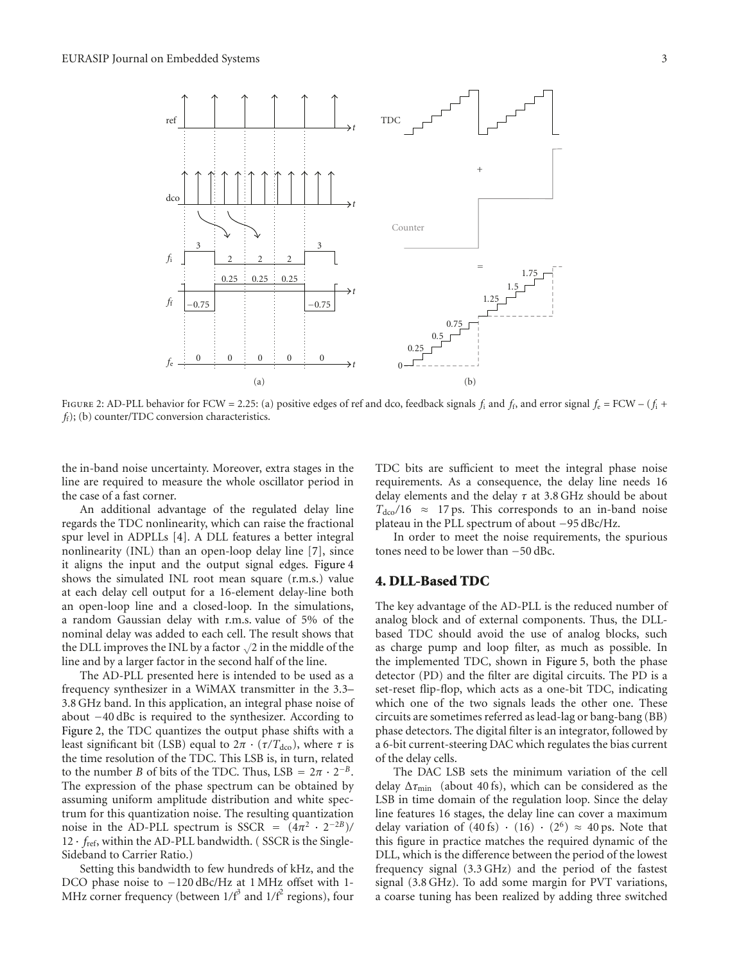

FIGURE 2: AD-PLL behavior for FCW = 2.25: (a) positive edges of ref and dco, feedback signals  $f_i$  and  $f_f$ , and error signal  $f_e = FCW - (f_i + f_i)$ *f*f); (b) counter/TDC conversion characteristics.

the in-band noise uncertainty. Moreover, extra stages in the line are required to measure the whole oscillator period in the case of a fast corner.

An additional advantage of the regulated delay line regards the TDC nonlinearity, which can raise the fractional spur level in ADPLLs [4]. A DLL features a better integral nonlinearity (INL) than an open-loop delay line [7], since it aligns the input and the output signal edges. Figure 4 shows the simulated INL root mean square (r.m.s.) value at each delay cell output for a 16-element delay-line both an open-loop line and a closed-loop. In the simulations, a random Gaussian delay with r.m.s. value of 5% of the nominal delay was added to each cell. The result shows that the DLL improves the INL by a factor  $\sqrt{2}$  in the middle of the line and by a larger factor in the second half of the line.

The AD-PLL presented here is intended to be used as a frequency synthesizer in a WiMAX transmitter in the 3.3– 3.8 GHz band. In this application, an integral phase noise of about −40 dBc is required to the synthesizer. According to Figure 2, the TDC quantizes the output phase shifts with a least significant bit (LSB) equal to  $2\pi \cdot (\tau/T_{\text{dco}})$ , where  $\tau$  is the time resolution of the TDC. This LSB is, in turn, related to the number *B* of bits of the TDC. Thus, LSB =  $2\pi \cdot 2^{-B}$ . The expression of the phase spectrum can be obtained by assuming uniform amplitude distribution and white spectrum for this quantization noise. The resulting quantization noise in the AD-PLL spectrum is SSCR =  $(4\pi^2 \cdot 2^{-2B})/$ 12 · *f*ref, within the AD-PLL bandwidth. ( SSCR is the Single-Sideband to Carrier Ratio.)

Setting this bandwidth to few hundreds of kHz, and the DCO phase noise to −120 dBc/Hz at 1 MHz offset with 1- MHz corner frequency (between 1*/*f <sup>3</sup> and 1*/*f <sup>2</sup> regions), four

TDC bits are sufficient to meet the integral phase noise requirements. As a consequence, the delay line needs 16 delay elements and the delay *τ* at 3.8 GHz should be about  $T_{\text{dco}}/16 \approx 17 \text{ ps}$ . This corresponds to an in-band noise plateau in the PLL spectrum of about −95 dBc/Hz.

In order to meet the noise requirements, the spurious tones need to be lower than −50 dBc.

## **4. DLL-Based TDC**

The key advantage of the AD-PLL is the reduced number of analog block and of external components. Thus, the DLLbased TDC should avoid the use of analog blocks, such as charge pump and loop filter, as much as possible. In the implemented TDC, shown in Figure 5, both the phase detector (PD) and the filter are digital circuits. The PD is a set-reset flip-flop, which acts as a one-bit TDC, indicating which one of the two signals leads the other one. These circuits are sometimes referred as lead-lag or bang-bang (BB) phase detectors. The digital filter is an integrator, followed by a 6-bit current-steering DAC which regulates the bias current of the delay cells.

The DAC LSB sets the minimum variation of the cell delay  $\Delta\tau_{\text{min}}$  (about 40 fs), which can be considered as the LSB in time domain of the regulation loop. Since the delay line features 16 stages, the delay line can cover a maximum delay variation of  $(40 \text{ fs}) \cdot (16) \cdot (2^6) \approx 40 \text{ ps}$ . Note that this figure in practice matches the required dynamic of the DLL, which is the difference between the period of the lowest frequency signal (3.3 GHz) and the period of the fastest signal (3.8 GHz). To add some margin for PVT variations, a coarse tuning has been realized by adding three switched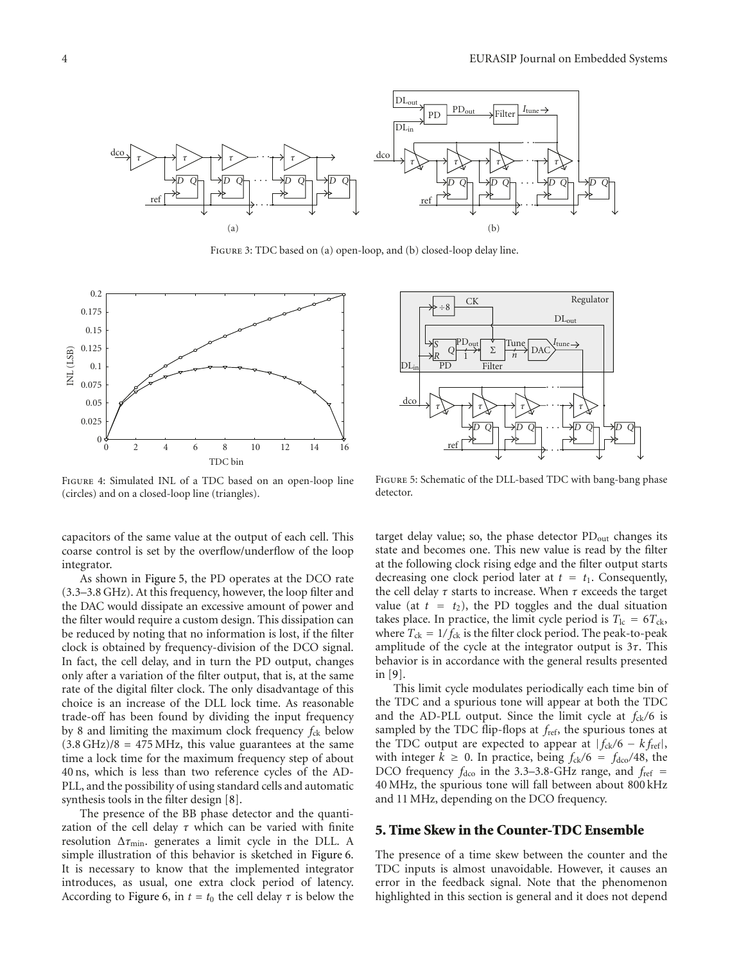

Figure 3: TDC based on (a) open-loop, and (b) closed-loop delay line.



Figure 4: Simulated INL of a TDC based on an open-loop line (circles) and on a closed-loop line (triangles).

capacitors of the same value at the output of each cell. This coarse control is set by the overflow/underflow of the loop integrator.

As shown in Figure 5, the PD operates at the DCO rate (3.3–3.8 GHz). At this frequency, however, the loop filter and the DAC would dissipate an excessive amount of power and the filter would require a custom design. This dissipation can be reduced by noting that no information is lost, if the filter clock is obtained by frequency-division of the DCO signal. In fact, the cell delay, and in turn the PD output, changes only after a variation of the filter output, that is, at the same rate of the digital filter clock. The only disadvantage of this choice is an increase of the DLL lock time. As reasonable trade-off has been found by dividing the input frequency by 8 and limiting the maximum clock frequency  $f_{ck}$  below  $(3.8 \text{ GHz})/8 = 475 \text{ MHz}$ , this value guarantees at the same time a lock time for the maximum frequency step of about 40 ns, which is less than two reference cycles of the AD-PLL, and the possibility of using standard cells and automatic synthesis tools in the filter design [8].

The presence of the BB phase detector and the quantization of the cell delay *τ* which can be varied with finite resolution Δ*τ*min. generates a limit cycle in the DLL. A simple illustration of this behavior is sketched in Figure 6. It is necessary to know that the implemented integrator introduces, as usual, one extra clock period of latency. According to Figure 6, in  $t = t_0$  the cell delay  $\tau$  is below the



FIGURE 5: Schematic of the DLL-based TDC with bang-bang phase detector.

target delay value; so, the phase detector  $PD_{out}$  changes its state and becomes one. This new value is read by the filter at the following clock rising edge and the filter output starts decreasing one clock period later at  $t = t_1$ . Consequently, the cell delay *τ* starts to increase. When *τ* exceeds the target value (at  $t = t_2$ ), the PD toggles and the dual situation takes place. In practice, the limit cycle period is  $T_{\text{lc}} = 6T_{\text{ck}}$ , where  $T_{ck} = 1/f_{ck}$  is the filter clock period. The peak-to-peak amplitude of the cycle at the integrator output is 3*τ*. This behavior is in accordance with the general results presented in [9].

This limit cycle modulates periodically each time bin of the TDC and a spurious tone will appear at both the TDC and the AD-PLL output. Since the limit cycle at  $f_{ck}/6$  is sampled by the TDC flip-flops at *f*ref, the spurious tones at the TDC output are expected to appear at  $|f_{ck}/6 - kf_{ref}|$ , with integer  $k \geq 0$ . In practice, being  $f_{ck}/6 = f_{dc}/48$ , the DCO frequency  $f_{\text{dco}}$  in the 3.3–3.8-GHz range, and  $f_{\text{ref}} =$ 40 MHz, the spurious tone will fall between about 800 kHz and 11 MHz, depending on the DCO frequency.

# **5. Time Skew in the Counter-TDC Ensemble**

The presence of a time skew between the counter and the TDC inputs is almost unavoidable. However, it causes an error in the feedback signal. Note that the phenomenon highlighted in this section is general and it does not depend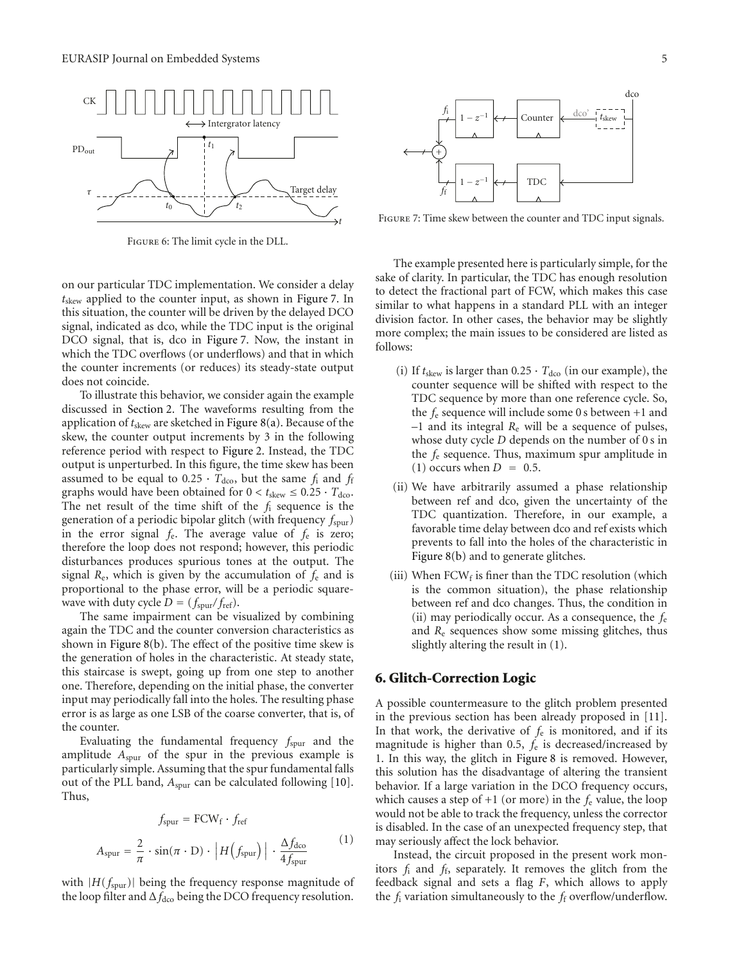

Figure 6: The limit cycle in the DLL.

on our particular TDC implementation. We consider a delay *t*skew applied to the counter input, as shown in Figure 7. In this situation, the counter will be driven by the delayed DCO signal, indicated as dco, while the TDC input is the original DCO signal, that is, dco in Figure 7. Now, the instant in which the TDC overflows (or underflows) and that in which the counter increments (or reduces) its steady-state output does not coincide.

To illustrate this behavior, we consider again the example discussed in Section 2. The waveforms resulting from the application of *t*skew are sketched in Figure 8(a). Because of the skew, the counter output increments by 3 in the following reference period with respect to Figure 2. Instead, the TDC output is unperturbed. In this figure, the time skew has been assumed to be equal to  $0.25 \cdot T_{\text{dco}}$ , but the same  $f_i$  and  $f_f$ graphs would have been obtained for  $0 < t_{\text{skew}} \leq 0.25 \cdot T_{\text{dco}}$ . The net result of the time shift of the *f*<sup>i</sup> sequence is the generation of a periodic bipolar glitch (with frequency *f*spur) in the error signal *f*e. The average value of *f*<sup>e</sup> is zero; therefore the loop does not respond; however, this periodic disturbances produces spurious tones at the output. The signal  $R_e$ , which is given by the accumulation of  $f_e$  and is proportional to the phase error, will be a periodic squarewave with duty cycle  $D = (f_{\text{spur}}/f_{\text{ref}})$ .

The same impairment can be visualized by combining again the TDC and the counter conversion characteristics as shown in Figure 8(b). The effect of the positive time skew is the generation of holes in the characteristic. At steady state, this staircase is swept, going up from one step to another one. Therefore, depending on the initial phase, the converter input may periodically fall into the holes. The resulting phase error is as large as one LSB of the coarse converter, that is, of the counter.

Evaluating the fundamental frequency *f*spur and the amplitude *A*spur of the spur in the previous example is particularly simple. Assuming that the spur fundamental falls out of the PLL band,  $A_{spur}$  can be calculated following [10]. Thus,

$$
f_{\text{spur}} = \text{FCW}_{\text{f}} \cdot f_{\text{ref}}
$$

$$
A_{\text{spur}} = \frac{2}{\pi} \cdot \sin(\pi \cdot \text{D}) \cdot \left| H\left(f_{\text{spur}}\right) \right| \cdot \frac{\Delta f_{\text{dco}}}{4 f_{\text{spur}}}
$$
(1)

with  $|H(f_{\text{spur}})|$  being the frequency response magnitude of the loop filter and  $\Delta f_{\text{dco}}$  being the DCO frequency resolution.



Figure 7: Time skew between the counter and TDC input signals.

The example presented here is particularly simple, for the sake of clarity. In particular, the TDC has enough resolution to detect the fractional part of FCW, which makes this case similar to what happens in a standard PLL with an integer division factor. In other cases, the behavior may be slightly more complex; the main issues to be considered are listed as follows:

- (i) If  $t_{\text{skew}}$  is larger than  $0.25 \cdot T_{\text{dco}}$  (in our example), the counter sequence will be shifted with respect to the TDC sequence by more than one reference cycle. So, the  $f_e$  sequence will include some 0 s between  $+1$  and  $-1$  and its integral  $R_e$  will be a sequence of pulses, whose duty cycle *D* depends on the number of 0 s in the *f*<sup>e</sup> sequence. Thus, maximum spur amplitude in  $(1)$  occurs when  $D = 0.5$ .
- (ii) We have arbitrarily assumed a phase relationship between ref and dco, given the uncertainty of the TDC quantization. Therefore, in our example, a favorable time delay between dco and ref exists which prevents to fall into the holes of the characteristic in Figure 8(b) and to generate glitches.
- (iii) When  $FCW_f$  is finer than the TDC resolution (which is the common situation), the phase relationship between ref and dco changes. Thus, the condition in (ii) may periodically occur. As a consequence, the *f*<sup>e</sup> and  $R_e$  sequences show some missing glitches, thus slightly altering the result in (1).

# **6. Glitch-Correction Logic**

A possible countermeasure to the glitch problem presented in the previous section has been already proposed in [11]. In that work, the derivative of  $f_e$  is monitored, and if its magnitude is higher than 0.5, *f*<sup>e</sup> is decreased/increased by 1. In this way, the glitch in Figure 8 is removed. However, this solution has the disadvantage of altering the transient behavior. If a large variation in the DCO frequency occurs, which causes a step of  $+1$  (or more) in the  $f_e$  value, the loop would not be able to track the frequency, unless the corrector is disabled. In the case of an unexpected frequency step, that may seriously affect the lock behavior.

Instead, the circuit proposed in the present work monitors *f*<sup>i</sup> and *f*f, separately. It removes the glitch from the feedback signal and sets a flag *F*, which allows to apply the *f*<sup>i</sup> variation simultaneously to the *f*<sup>f</sup> overflow/underflow.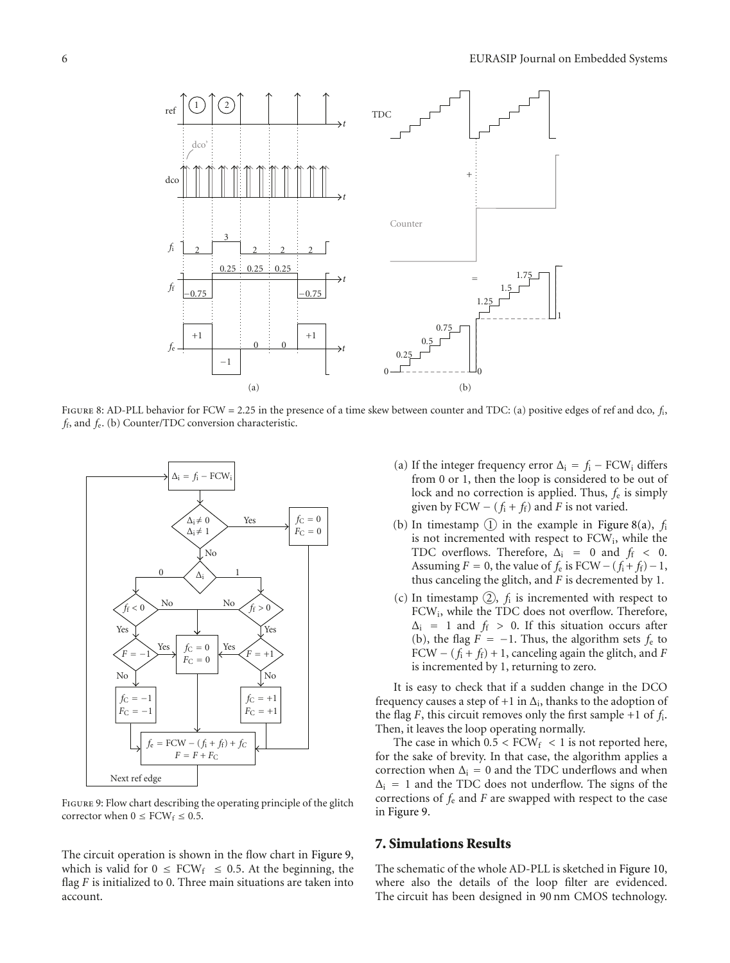

FIGURE 8: AD-PLL behavior for FCW = 2.25 in the presence of a time skew between counter and TDC: (a) positive edges of ref and dco,  $f_i$ *f*f, and *f*e. (b) Counter/TDC conversion characteristic.



Figure 9: Flow chart describing the operating principle of the glitch corrector when  $0 \leq$  FCW<sub>f</sub>  $\leq$  0.5.

The circuit operation is shown in the flow chart in Figure 9, which is valid for  $0 \leq$  FCW<sub>f</sub>  $\leq$  0.5. At the beginning, the flag *F* is initialized to 0. Three main situations are taken into account.

- (a) If the integer frequency error  $\Delta_i = f_i FCW_i$  differs from 0 or 1, then the loop is considered to be out of lock and no correction is applied. Thus, *f*<sup>e</sup> is simply given by FCW –  $(f_i + f_f)$  and *F* is not varied.
- (b) In timestamp  $(1)$  in the example in Figure 8(a),  $f_i$ is not incremented with respect to  $FCW_i$ , while the TDC overflows. Therefore,  $\Delta_i = 0$  and  $f_f < 0$ . Assuming  $F = 0$ , the value of  $f_e$  is  $FCW - (f_i + f_f) - 1$ , thus canceling the glitch, and *F* is decremented by 1.
- (c) In timestamp  $(2)$ ,  $f_i$  is incremented with respect to FCWi, while the TDC does not overflow. Therefore,  $\Delta_i$  = 1 and  $f_f > 0$ . If this situation occurs after (b), the flag  $F = -1$ . Thus, the algorithm sets  $f_e$  to FCW –  $(f_i + f_f)$  + 1, canceling again the glitch, and *F* is incremented by 1, returning to zero.

It is easy to check that if a sudden change in the DCO frequency causes a step of  $+1$  in  $\Delta_i$ , thanks to the adoption of the flag *F*, this circuit removes only the first sample +1 of *f*i. Then, it leaves the loop operating normally.

The case in which  $0.5 <$  FCW<sub>f</sub>  $\lt$  1 is not reported here, for the sake of brevity. In that case, the algorithm applies a correction when  $\Delta_i = 0$  and the TDC underflows and when  $\Delta_i$  = 1 and the TDC does not underflow. The signs of the corrections of  $f_e$  and  $F$  are swapped with respect to the case in Figure 9.

#### **7. Simulations Results**

The schematic of the whole AD-PLL is sketched in Figure 10, where also the details of the loop filter are evidenced. The circuit has been designed in 90 nm CMOS technology.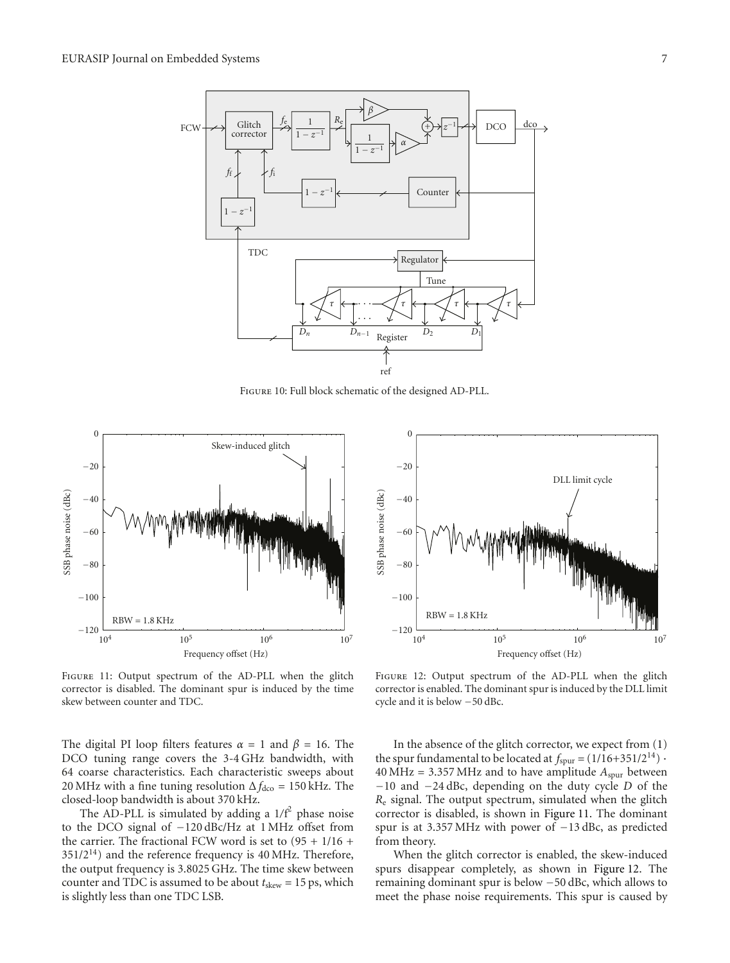

Figure 10: Full block schematic of the designed AD-PLL.



FIGURE 11: Output spectrum of the AD-PLL when the glitch corrector is disabled. The dominant spur is induced by the time skew between counter and TDC.

The digital PI loop filters features  $\alpha = 1$  and  $\beta = 16$ . The DCO tuning range covers the 3-4 GHz bandwidth, with 64 coarse characteristics. Each characteristic sweeps about 20 MHz with a fine tuning resolution  $\Delta f_{\text{dco}} = 150 \text{ kHz}$ . The closed-loop bandwidth is about 370 kHz.

The AD-PLL is simulated by adding a 1*/*f <sup>2</sup> phase noise to the DCO signal of −120 dBc/Hz at 1 MHz offset from the carrier. The fractional FCW word is set to  $(95 + 1/16 +$  $351/2^{14}$ ) and the reference frequency is 40 MHz. Therefore, the output frequency is 3.8025 GHz. The time skew between counter and TDC is assumed to be about  $t<sub>skew</sub> = 15$  ps, which is slightly less than one TDC LSB.



Figure 12: Output spectrum of the AD-PLL when the glitch corrector is enabled. The dominant spur is induced by the DLL limit cycle and it is below −50 dBc.

In the absence of the glitch corrector, we expect from (1) the spur fundamental to be located at  $f_{\text{spur}} = (1/16+351/2^{14}) \cdot$  $40 \text{ MHz} = 3.357 \text{ MHz}$  and to have amplitude  $A_{\text{spur}}$  between −10 and −24 dBc, depending on the duty cycle *D* of the *R*<sup>e</sup> signal. The output spectrum, simulated when the glitch corrector is disabled, is shown in Figure 11. The dominant spur is at 3.357 MHz with power of −13 dBc, as predicted from theory.

When the glitch corrector is enabled, the skew-induced spurs disappear completely, as shown in Figure 12. The remaining dominant spur is below −50 dBc, which allows to meet the phase noise requirements. This spur is caused by